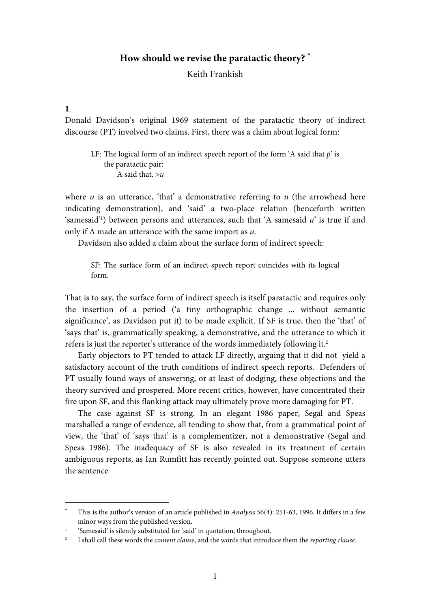# **How should we revise the paratactic theory?** <sup>∗</sup>

Keith Frankish

# **1**.

-

Donald Davidson's original 1969 statement of the paratactic theory of indirect discourse (PT) involved two claims. First, there was a claim about logical form:

LF: The logical form of an indirect speech report of the form  $'A$  said that  $p'$  is the paratactic pair: A said that.  $>u$ 

where  $u$  is an utterance, 'that' a demonstrative referring to  $u$  (the arrowhead here indicating demonstration), and 'said' a two-place relation (henceforth written 'samesaid'') between persons and utterances, such that 'A samesaid  $u$ ' is true if and only if A made an utterance with the same import as  $u$ .

Davidson also added a claim about the surface form of indirect speech:

SF: The surface form of an indirect speech report coincides with its logical form.

That is to say, the surface form of indirect speech is itself paratactic and requires only the insertion of a period ('a tiny orthographic change ... without semantic significance', as Davidson put it) to be made explicit. If SF is true, then the 'that' of 'says that' is, grammatically speaking, a demonstrative, and the utterance to which it refers is just the reporter's utterance of the words immediately following it.<sup>2</sup>

 Early objectors to PT tended to attack LF directly, arguing that it did not yield a satisfactory account of the truth conditions of indirect speech reports. Defenders of PT usually found ways of answering, or at least of dodging, these objections and the theory survived and prospered. More recent critics, however, have concentrated their fire upon SF, and this flanking attack may ultimately prove more damaging for PT.

 The case against SF is strong. In an elegant 1986 paper, Segal and Speas marshalled a range of evidence, all tending to show that, from a grammatical point of view, the 'that' of 'says that' is a complementizer, not a demonstrative (Segal and Speas 1986). The inadequacy of SF is also revealed in its treatment of certain ambiguous reports, as Ian Rumfitt has recently pointed out. Suppose someone utters the sentence

<sup>∗</sup> This is the author's version of an article published in Analysis 56(4): 251-63, 1996. It differs in a few minor ways from the published version.

<sup>1</sup> 'Samesaid' is silently substituted for 'said' in quotation, throughout.

<sup>2</sup> I shall call these words the content clause, and the words that introduce them the reporting clause.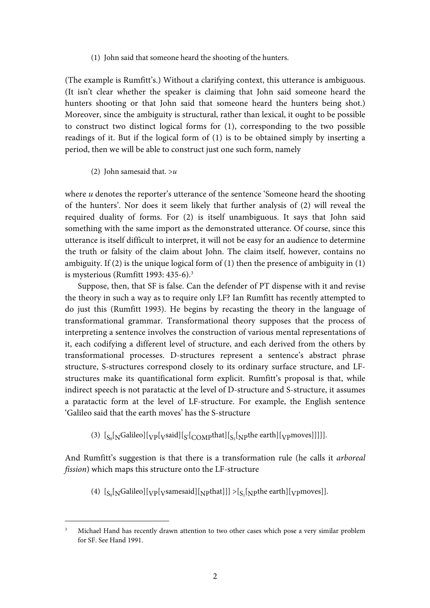(1) John said that someone heard the shooting of the hunters.

(The example is Rumfitt's.) Without a clarifying context, this utterance is ambiguous. (It isn't clear whether the speaker is claiming that John said someone heard the hunters shooting or that John said that someone heard the hunters being shot.) Moreover, since the ambiguity is structural, rather than lexical, it ought to be possible to construct two distinct logical forms for (1), corresponding to the two possible readings of it. But if the logical form of (1) is to be obtained simply by inserting a period, then we will be able to construct just one such form, namely

(2) John samesaid that.  $>u$ 

-

where u denotes the reporter's utterance of the sentence 'Someone heard the shooting of the hunters'. Nor does it seem likely that further analysis of (2) will reveal the required duality of forms. For (2) is itself unambiguous. It says that John said something with the same import as the demonstrated utterance. Of course, since this utterance is itself difficult to interpret, it will not be easy for an audience to determine the truth or falsity of the claim about John. The claim itself, however, contains no ambiguity. If (2) is the unique logical form of (1) then the presence of ambiguity in (1) is mysterious (Rumfitt 1993: 435-6).<sup>3</sup>

 Suppose, then, that SF is false. Can the defender of PT dispense with it and revise the theory in such a way as to require only LF? Ian Rumfitt has recently attempted to do just this (Rumfitt 1993). He begins by recasting the theory in the language of transformational grammar. Transformational theory supposes that the process of interpreting a sentence involves the construction of various mental representations of it, each codifying a different level of structure, and each derived from the others by transformational processes. D-structures represent a sentence's abstract phrase structure, S-structures correspond closely to its ordinary surface structure, and LFstructures make its quantificational form explicit. Rumfitt's proposal is that, while indirect speech is not paratactic at the level of D-structure and S-structure, it assumes a paratactic form at the level of LF-structure. For example, the English sentence 'Galileo said that the earth moves' has the S-structure

(3)  $\left[\frac{S_0}{N}G \text{alileo}\right] [\text{vp}[\text{vsaid}][S \text{t}]\text{Compt}$ hat $\left[\frac{S_1}{N}[\text{pthe earth}][\text{vp}]\text{moves}]\right]$ ].

And Rumfitt's suggestion is that there is a transformation rule (he calls it arboreal fission) which maps this structure onto the LF-structure

(4)  $\left[\frac{S_0}{N}$ Galileo] $\left[\frac{V}{V}$ [ $\frac{V}{N}$ samesaid] $\left[\frac{V}{N}$ pthat]]] > $\frac{S_1}{N}$ [ $\frac{V}{N}$ pthe earth] $\left[\frac{V}{V}$ pmoves]].

<sup>3</sup> Michael Hand has recently drawn attention to two other cases which pose a very similar problem for SF. See Hand 1991.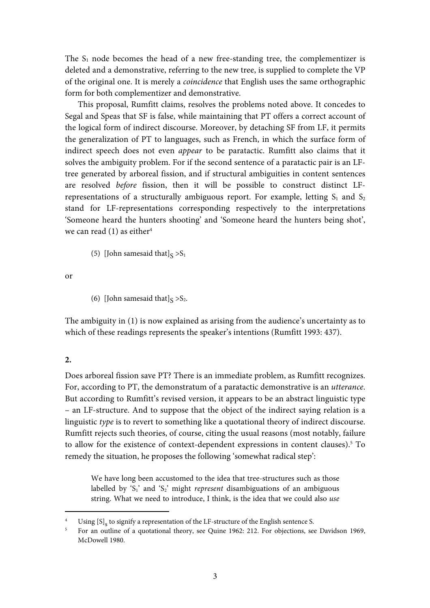The  $S_1$  node becomes the head of a new free-standing tree, the complementizer is deleted and a demonstrative, referring to the new tree, is supplied to complete the VP of the original one. It is merely a coincidence that English uses the same orthographic form for both complementizer and demonstrative.

 This proposal, Rumfitt claims, resolves the problems noted above. It concedes to Segal and Speas that SF is false, while maintaining that PT offers a correct account of the logical form of indirect discourse. Moreover, by detaching SF from LF, it permits the generalization of PT to languages, such as French, in which the surface form of indirect speech does not even appear to be paratactic. Rumfitt also claims that it solves the ambiguity problem. For if the second sentence of a paratactic pair is an LFtree generated by arboreal fission, and if structural ambiguities in content sentences are resolved before fission, then it will be possible to construct distinct LFrepresentations of a structurally ambiguous report. For example, letting  $S_1$  and  $S_2$ stand for LF-representations corresponding respectively to the interpretations 'Someone heard the hunters shooting' and 'Someone heard the hunters being shot', we can read  $(1)$  as either<sup>4</sup>

(5) [John samesaid that]<sub>S</sub> > S<sub>1</sub>

or

(6) [John samesaid that] $_S > S_2$ .

The ambiguity in (1) is now explained as arising from the audience's uncertainty as to which of these readings represents the speaker's intentions (Rumfitt 1993: 437).

## **2.**

 $\overline{a}$ 

Does arboreal fission save PT? There is an immediate problem, as Rumfitt recognizes. For, according to PT, the demonstratum of a paratactic demonstrative is an utterance. But according to Rumfitt's revised version, it appears to be an abstract linguistic type – an LF-structure. And to suppose that the object of the indirect saying relation is a linguistic type is to revert to something like a quotational theory of indirect discourse. Rumfitt rejects such theories, of course, citing the usual reasons (most notably, failure to allow for the existence of context-dependent expressions in content clauses).<sup>5</sup> To remedy the situation, he proposes the following 'somewhat radical step':

We have long been accustomed to the idea that tree-structures such as those labelled by  $S_1$ ' and  $S_2$ ' might *represent* disambiguations of an ambiguous string. What we need to introduce, I think, is the idea that we could also use

<sup>4</sup> Using  $\left[\mathsf{S}\right]_{\mathsf{S}}$  to signify a representation of the LF-structure of the English sentence S.

<sup>5</sup> For an outline of a quotational theory, see Quine 1962: 212. For objections, see Davidson 1969, McDowell 1980.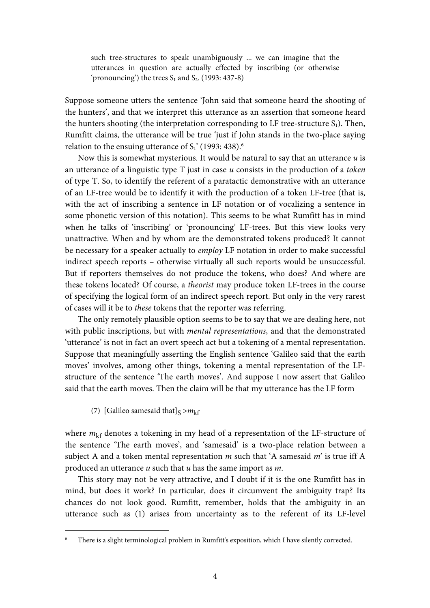such tree-structures to speak unambiguously ... we can imagine that the utterances in question are actually effected by inscribing (or otherwise 'pronouncing') the trees  $S_1$  and  $S_2$ . (1993: 437-8)

Suppose someone utters the sentence 'John said that someone heard the shooting of the hunters', and that we interpret this utterance as an assertion that someone heard the hunters shooting (the interpretation corresponding to LF tree-structure  $S_1$ ). Then, Rumfitt claims, the utterance will be true 'just if John stands in the two-place saying relation to the ensuing utterance of  $S_1'$  (1993: 438).<sup>6</sup>

Now this is somewhat mysterious. It would be natural to say that an utterance  $u$  is an utterance of a linguistic type  $T$  just in case  $u$  consists in the production of a token of type T. So, to identify the referent of a paratactic demonstrative with an utterance of an LF-tree would be to identify it with the production of a token LF-tree (that is, with the act of inscribing a sentence in LF notation or of vocalizing a sentence in some phonetic version of this notation). This seems to be what Rumfitt has in mind when he talks of 'inscribing' or 'pronouncing' LF-trees. But this view looks very unattractive. When and by whom are the demonstrated tokens produced? It cannot be necessary for a speaker actually to employ LF notation in order to make successful indirect speech reports – otherwise virtually all such reports would be unsuccessful. But if reporters themselves do not produce the tokens, who does? And where are these tokens located? Of course, a theorist may produce token LF-trees in the course of specifying the logical form of an indirect speech report. But only in the very rarest of cases will it be to these tokens that the reporter was referring.

 The only remotely plausible option seems to be to say that we are dealing here, not with public inscriptions, but with mental representations, and that the demonstrated 'utterance' is not in fact an overt speech act but a tokening of a mental representation. Suppose that meaningfully asserting the English sentence 'Galileo said that the earth moves' involves, among other things, tokening a mental representation of the LFstructure of the sentence 'The earth moves'. And suppose I now assert that Galileo said that the earth moves. Then the claim will be that my utterance has the LF form

(7) [Galileo samesaid that]<sub>S</sub> > $m_{\rm kf}$ 

-

where  $m_{kf}$  denotes a tokening in my head of a representation of the LF-structure of the sentence 'The earth moves', and 'samesaid' is a two-place relation between a subject A and a token mental representation  $m$  such that 'A samesaid  $m$ ' is true iff A produced an utterance  $u$  such that  $u$  has the same import as  $m$ .

 This story may not be very attractive, and I doubt if it is the one Rumfitt has in mind, but does it work? In particular, does it circumvent the ambiguity trap? Its chances do not look good. Rumfitt, remember, holds that the ambiguity in an utterance such as (1) arises from uncertainty as to the referent of its LF-level

<sup>6</sup> There is a slight terminological problem in Rumfitt's exposition, which I have silently corrected.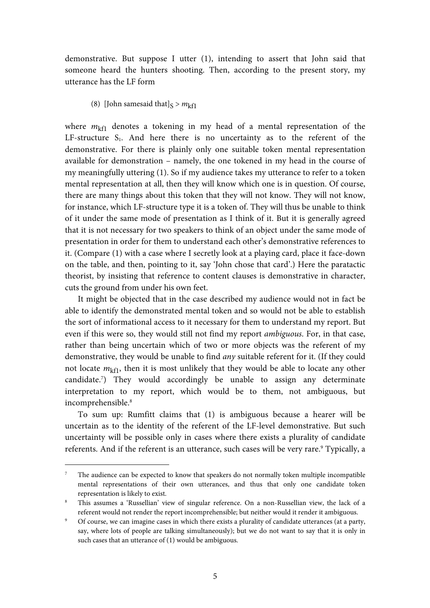demonstrative. But suppose I utter (1), intending to assert that John said that someone heard the hunters shooting. Then, according to the present story, my utterance has the LF form

(8) [John samesaid that]<sub>S</sub> >  $m_{\text{kfl}}$ 

-

where  $m<sub>kf1</sub>$  denotes a tokening in my head of a mental representation of the LF-structure  $S_1$ . And here there is no uncertainty as to the referent of the demonstrative. For there is plainly only one suitable token mental representation available for demonstration – namely, the one tokened in my head in the course of my meaningfully uttering (1). So if my audience takes my utterance to refer to a token mental representation at all, then they will know which one is in question. Of course, there are many things about this token that they will not know. They will not know, for instance, which LF-structure type it is a token of. They will thus be unable to think of it under the same mode of presentation as I think of it. But it is generally agreed that it is not necessary for two speakers to think of an object under the same mode of presentation in order for them to understand each other's demonstrative references to it. (Compare (1) with a case where I secretly look at a playing card, place it face-down on the table, and then, pointing to it, say 'John chose that card'.) Here the paratactic theorist, by insisting that reference to content clauses is demonstrative in character, cuts the ground from under his own feet.

 It might be objected that in the case described my audience would not in fact be able to identify the demonstrated mental token and so would not be able to establish the sort of informational access to it necessary for them to understand my report. But even if this were so, they would still not find my report ambiguous. For, in that case, rather than being uncertain which of two or more objects was the referent of my demonstrative, they would be unable to find any suitable referent for it. (If they could not locate  $m_{\text{kf1}}$ , then it is most unlikely that they would be able to locate any other candidate.<sup>7</sup> ) They would accordingly be unable to assign any determinate interpretation to my report, which would be to them, not ambiguous, but incomprehensible.<sup>8</sup>

 To sum up: Rumfitt claims that (1) is ambiguous because a hearer will be uncertain as to the identity of the referent of the LF-level demonstrative. But such uncertainty will be possible only in cases where there exists a plurality of candidate referents. And if the referent is an utterance, such cases will be very rare.<sup>9</sup> Typically, a

<sup>7</sup> The audience can be expected to know that speakers do not normally token multiple incompatible mental representations of their own utterances, and thus that only one candidate token representation is likely to exist.

<sup>8</sup> This assumes a 'Russellian' view of singular reference. On a non-Russellian view, the lack of a referent would not render the report incomprehensible; but neither would it render it ambiguous.

<sup>9</sup> Of course, we can imagine cases in which there exists a plurality of candidate utterances (at a party, say, where lots of people are talking simultaneously); but we do not want to say that it is only in such cases that an utterance of (1) would be ambiguous.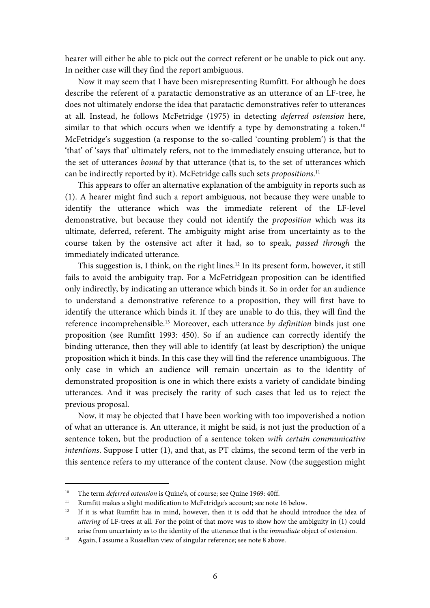hearer will either be able to pick out the correct referent or be unable to pick out any. In neither case will they find the report ambiguous.

 Now it may seem that I have been misrepresenting Rumfitt. For although he does describe the referent of a paratactic demonstrative as an utterance of an LF-tree, he does not ultimately endorse the idea that paratactic demonstratives refer to utterances at all. Instead, he follows McFetridge (1975) in detecting deferred ostension here, similar to that which occurs when we identify a type by demonstrating a token.<sup>10</sup> McFetridge's suggestion (a response to the so-called 'counting problem') is that the 'that' of 'says that' ultimately refers, not to the immediately ensuing utterance, but to the set of utterances bound by that utterance (that is, to the set of utterances which can be indirectly reported by it). McFetridge calls such sets *propositions*.<sup>11</sup>

 This appears to offer an alternative explanation of the ambiguity in reports such as (1). A hearer might find such a report ambiguous, not because they were unable to identify the utterance which was the immediate referent of the LF-level demonstrative, but because they could not identify the proposition which was its ultimate, deferred, referent. The ambiguity might arise from uncertainty as to the course taken by the ostensive act after it had, so to speak, passed through the immediately indicated utterance.

This suggestion is, I think, on the right lines.<sup>12</sup> In its present form, however, it still fails to avoid the ambiguity trap. For a McFetridgean proposition can be identified only indirectly, by indicating an utterance which binds it. So in order for an audience to understand a demonstrative reference to a proposition, they will first have to identify the utterance which binds it. If they are unable to do this, they will find the reference incomprehensible.<sup>13</sup> Moreover, each utterance by definition binds just one proposition (see Rumfitt 1993: 450). So if an audience can correctly identify the binding utterance, then they will able to identify (at least by description) the unique proposition which it binds. In this case they will find the reference unambiguous. The only case in which an audience will remain uncertain as to the identity of demonstrated proposition is one in which there exists a variety of candidate binding utterances. And it was precisely the rarity of such cases that led us to reject the previous proposal.

 Now, it may be objected that I have been working with too impoverished a notion of what an utterance is. An utterance, it might be said, is not just the production of a sentence token, but the production of a sentence token with certain communicative intentions. Suppose I utter (1), and that, as PT claims, the second term of the verb in this sentence refers to my utterance of the content clause. Now (the suggestion might

-

<sup>&</sup>lt;sup>10</sup> The term *deferred ostension* is Quine's, of course; see Quine 1969: 40ff.<br><sup>11</sup> Rumfitt makes a slight modification to McFetridge's account: see note

Rumfitt makes a slight modification to McFetridge's account; see note 16 below.

<sup>&</sup>lt;sup>12</sup> If it is what Rumfitt has in mind, however, then it is odd that he should introduce the idea of uttering of LF-trees at all. For the point of that move was to show how the ambiguity in (1) could arise from uncertainty as to the identity of the utterance that is the immediate object of ostension.

<sup>&</sup>lt;sup>13</sup> Again, I assume a Russellian view of singular reference; see note 8 above.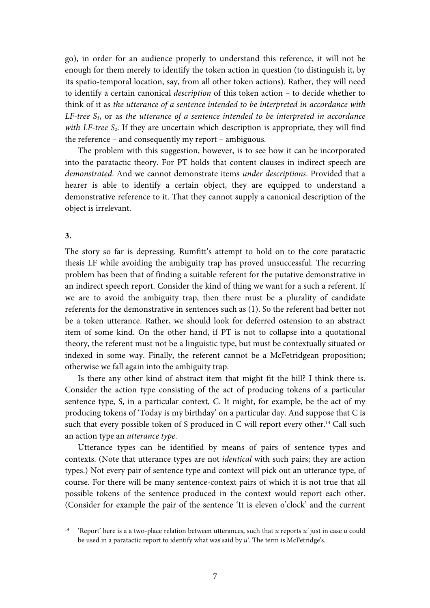go), in order for an audience properly to understand this reference, it will not be enough for them merely to identify the token action in question (to distinguish it, by its spatio-temporal location, say, from all other token actions). Rather, they will need to identify a certain canonical description of this token action – to decide whether to think of it as the utterance of a sentence intended to be interpreted in accordance with LF-tree  $S<sub>1</sub>$ , or as the utterance of a sentence intended to be interpreted in accordance with LF-tree  $S_2$ . If they are uncertain which description is appropriate, they will find the reference – and consequently my report – ambiguous.

 The problem with this suggestion, however, is to see how it can be incorporated into the paratactic theory. For PT holds that content clauses in indirect speech are demonstrated. And we cannot demonstrate items under descriptions. Provided that a hearer is able to identify a certain object, they are equipped to understand a demonstrative reference to it. That they cannot supply a canonical description of the object is irrelevant.

#### **3.**

-

The story so far is depressing. Rumfitt's attempt to hold on to the core paratactic thesis LF while avoiding the ambiguity trap has proved unsuccessful. The recurring problem has been that of finding a suitable referent for the putative demonstrative in an indirect speech report. Consider the kind of thing we want for a such a referent. If we are to avoid the ambiguity trap, then there must be a plurality of candidate referents for the demonstrative in sentences such as (1). So the referent had better not be a token utterance. Rather, we should look for deferred ostension to an abstract item of some kind. On the other hand, if PT is not to collapse into a quotational theory, the referent must not be a linguistic type, but must be contextually situated or indexed in some way. Finally, the referent cannot be a McFetridgean proposition; otherwise we fall again into the ambiguity trap.

 Is there any other kind of abstract item that might fit the bill? I think there is. Consider the action type consisting of the act of producing tokens of a particular sentence type, S, in a particular context, C. It might, for example, be the act of my producing tokens of 'Today is my birthday' on a particular day. And suppose that C is such that every possible token of S produced in C will report every other.<sup>14</sup> Call such an action type an utterance type.

 Utterance types can be identified by means of pairs of sentence types and contexts. (Note that utterance types are not identical with such pairs; they are action types.) Not every pair of sentence type and context will pick out an utterance type, of course. For there will be many sentence-context pairs of which it is not true that all possible tokens of the sentence produced in the context would report each other. (Consider for example the pair of the sentence 'It is eleven o'clock' and the current

<sup>&</sup>lt;sup>14</sup> 'Report' here is a a two-place relation between utterances, such that u reports u' just in case u could be used in a paratactic report to identify what was said by u'. The term is McFetridge's.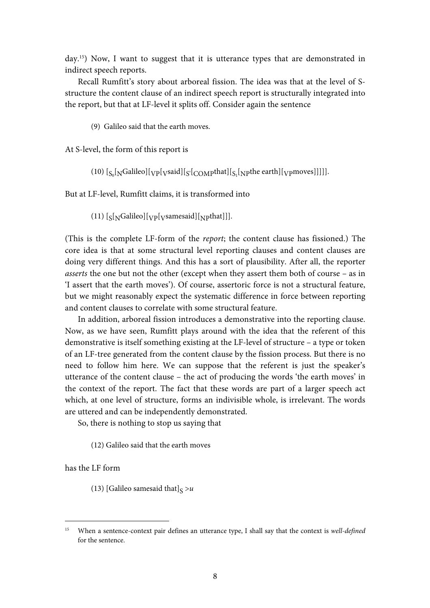day.<sup>15</sup>) Now, I want to suggest that it is utterance types that are demonstrated in indirect speech reports.

 Recall Rumfitt's story about arboreal fission. The idea was that at the level of Sstructure the content clause of an indirect speech report is structurally integrated into the report, but that at LF-level it splits off. Consider again the sentence

(9) Galileo said that the earth moves.

At S-level, the form of this report is

(10)  $\left[\frac{S_0}{N}G \text{alileo}\right] \left[\frac{V}{V} \left[\frac{V}{N} \text{alileo}\right] \left[\frac{V}{N} \left[\frac{V}{N} \text{alileo}\right] \left[\frac{V}{N} \left[\frac{V}{N} \text{alileo}\right] \left[\frac{V}{N} \left[\frac{V}{N} \text{alileo}\right] \left[\frac{V}{N} \left[\frac{V}{N} \text{alileo}\right] \left[\frac{V}{N} \left[\frac{V}{N} \left[\frac{V}{N} \right]\right] \left[\frac{V}{N} \left[\frac{V}{N} \left[\frac{V}{N}$ 

But at LF-level, Rumfitt claims, it is transformed into

(11)  $\left[\int_S[\text{NGalileo}][\text{Vp}[\text{Vsamesaid}][\text{Np}[\text{that}]]]\right]$ .

(This is the complete LF-form of the report; the content clause has fissioned.) The core idea is that at some structural level reporting clauses and content clauses are doing very different things. And this has a sort of plausibility. After all, the reporter asserts the one but not the other (except when they assert them both of course – as in 'I assert that the earth moves'). Of course, assertoric force is not a structural feature, but we might reasonably expect the systematic difference in force between reporting and content clauses to correlate with some structural feature.

 In addition, arboreal fission introduces a demonstrative into the reporting clause. Now, as we have seen, Rumfitt plays around with the idea that the referent of this demonstrative is itself something existing at the LF-level of structure – a type or token of an LF-tree generated from the content clause by the fission process. But there is no need to follow him here. We can suppose that the referent is just the speaker's utterance of the content clause – the act of producing the words 'the earth moves' in the context of the report. The fact that these words are part of a larger speech act which, at one level of structure, forms an indivisible whole, is irrelevant. The words are uttered and can be independently demonstrated.

So, there is nothing to stop us saying that

(12) Galileo said that the earth moves

has the LF form

-

(13) [Galileo samesaid that]<sub>S</sub> >u

<sup>&</sup>lt;sup>15</sup> When a sentence-context pair defines an utterance type, I shall say that the context is well-defined for the sentence.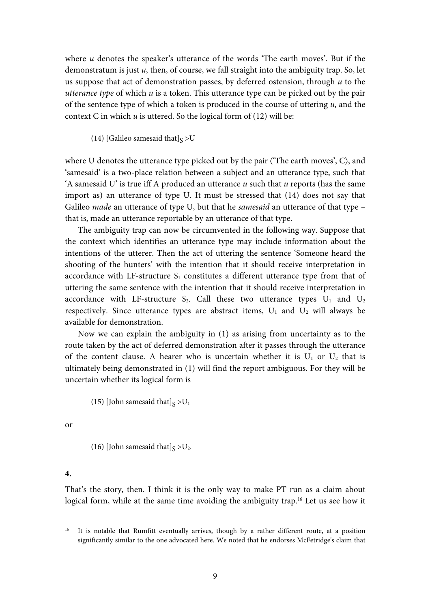where u denotes the speaker's utterance of the words 'The earth moves'. But if the demonstratum is just  $u$ , then, of course, we fall straight into the ambiguity trap. So, let us suppose that act of demonstration passes, by deferred ostension, through  $u$  to the utterance type of which  $u$  is a token. This utterance type can be picked out by the pair of the sentence type of which a token is produced in the course of uttering  $u$ , and the context C in which  $u$  is uttered. So the logical form of (12) will be:

(14) [Galileo samesaid that] $_S > U$ 

where U denotes the utterance type picked out by the pair  $\langle$  The earth moves', C $\rangle$ , and 'samesaid' is a two-place relation between a subject and an utterance type, such that 'A samesaid U' is true iff A produced an utterance  $u$  such that  $u$  reports (has the same import as) an utterance of type U. It must be stressed that (14) does not say that Galileo made an utterance of type U, but that he samesaid an utterance of that type – that is, made an utterance reportable by an utterance of that type.

 The ambiguity trap can now be circumvented in the following way. Suppose that the context which identifies an utterance type may include information about the intentions of the utterer. Then the act of uttering the sentence 'Someone heard the shooting of the hunters' with the intention that it should receive interpretation in accordance with LF-structure  $S_1$  constitutes a different utterance type from that of uttering the same sentence with the intention that it should receive interpretation in accordance with LF-structure  $S_2$ . Call these two utterance types  $U_1$  and  $U_2$ respectively. Since utterance types are abstract items,  $U_1$  and  $U_2$  will always be available for demonstration.

 Now we can explain the ambiguity in (1) as arising from uncertainty as to the route taken by the act of deferred demonstration after it passes through the utterance of the content clause. A hearer who is uncertain whether it is  $U_1$  or  $U_2$  that is ultimately being demonstrated in (1) will find the report ambiguous. For they will be uncertain whether its logical form is

(15) [John samesaid that]<sub>S</sub> >U<sub>1</sub>

or

(16) [John samesaid that] $_S > U_2$ .

# **4.**

-

That's the story, then. I think it is the only way to make PT run as a claim about logical form, while at the same time avoiding the ambiguity trap.<sup>16</sup> Let us see how it

<sup>&</sup>lt;sup>16</sup> It is notable that Rumfitt eventually arrives, though by a rather different route, at a position significantly similar to the one advocated here. We noted that he endorses McFetridge's claim that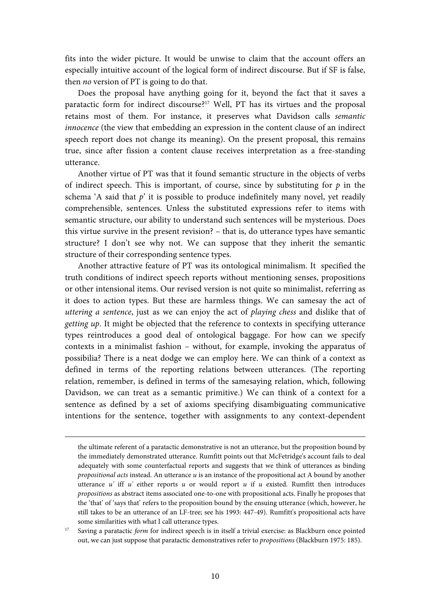fits into the wider picture. It would be unwise to claim that the account offers an especially intuitive account of the logical form of indirect discourse. But if SF is false, then *no* version of PT is going to do that.

 Does the proposal have anything going for it, beyond the fact that it saves a paratactic form for indirect discourse?<sup>17</sup> Well, PT has its virtues and the proposal retains most of them. For instance, it preserves what Davidson calls semantic innocence (the view that embedding an expression in the content clause of an indirect speech report does not change its meaning). On the present proposal, this remains true, since after fission a content clause receives interpretation as a free-standing utterance.

 Another virtue of PT was that it found semantic structure in the objects of verbs of indirect speech. This is important, of course, since by substituting for  $p$  in the schema 'A said that  $p$ ' it is possible to produce indefinitely many novel, yet readily comprehensible, sentences. Unless the substituted expressions refer to items with semantic structure, our ability to understand such sentences will be mysterious. Does this virtue survive in the present revision? – that is, do utterance types have semantic structure? I don't see why not. We can suppose that they inherit the semantic structure of their corresponding sentence types.

 Another attractive feature of PT was its ontological minimalism. It specified the truth conditions of indirect speech reports without mentioning senses, propositions or other intensional items. Our revised version is not quite so minimalist, referring as it does to action types. But these are harmless things. We can samesay the act of uttering a sentence, just as we can enjoy the act of playing chess and dislike that of getting up. It might be objected that the reference to contexts in specifying utterance types reintroduces a good deal of ontological baggage. For how can we specify contexts in a minimalist fashion – without, for example, invoking the apparatus of possibilia? There is a neat dodge we can employ here. We can think of a context as defined in terms of the reporting relations between utterances. (The reporting relation, remember, is defined in terms of the samesaying relation, which, following Davidson, we can treat as a semantic primitive.) We can think of a context for a sentence as defined by a set of axioms specifying disambiguating communicative intentions for the sentence, together with assignments to any context-dependent

-

the ultimate referent of a paratactic demonstrative is not an utterance, but the proposition bound by the immediately demonstrated utterance. Rumfitt points out that McFetridge's account fails to deal adequately with some counterfactual reports and suggests that we think of utterances as binding propositional acts instead. An utterance  $u$  is an instance of the propositional act A bound by another utterance  $u'$  iff  $u'$  either reports  $u$  or would report  $u$  if  $u$  existed. Rumfitt then introduces propositions as abstract items associated one-to-one with propositional acts. Finally he proposes that the 'that' of 'says that' refers to the proposition bound by the ensuing utterance (which, however, he still takes to be an utterance of an LF-tree; see his 1993: 447-49). Rumfitt's propositional acts have some similarities with what I call utterance types.

<sup>&</sup>lt;sup>17</sup> Saving a paratactic form for indirect speech is in itself a trivial exercise: as Blackburn once pointed out, we can just suppose that paratactic demonstratives refer to propositions (Blackburn 1975: 185).